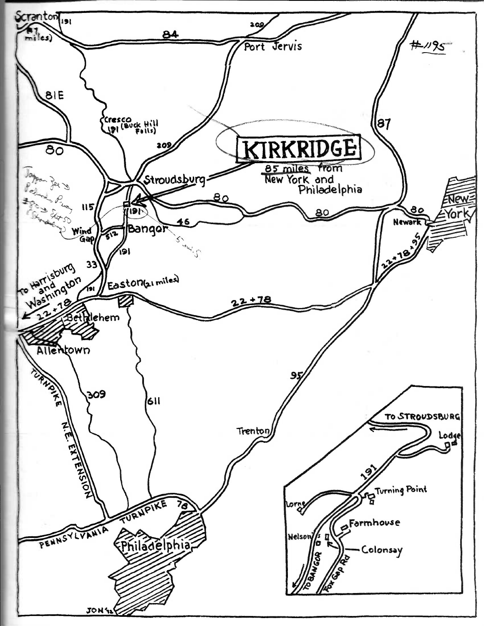